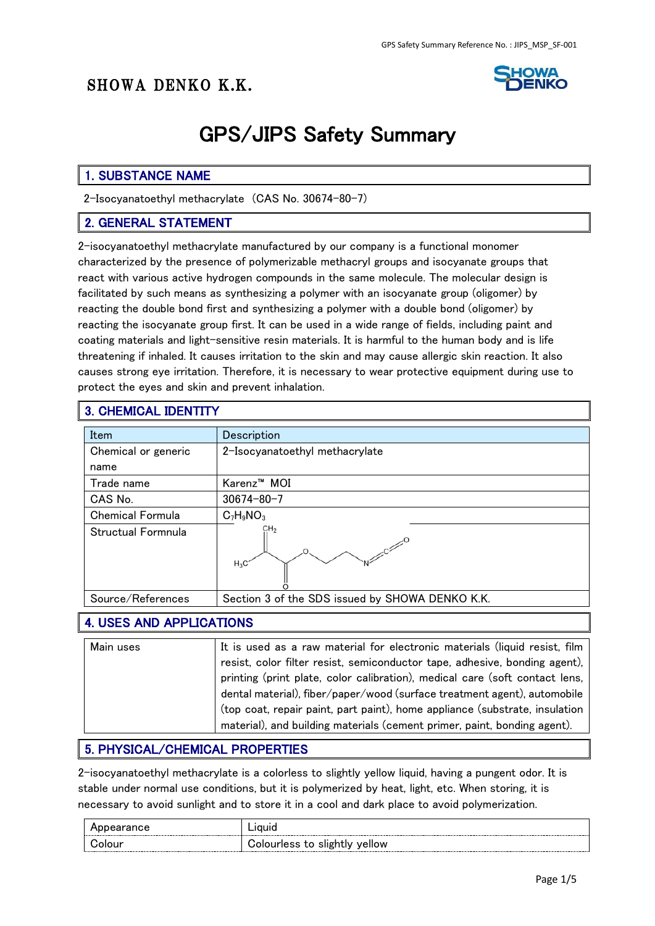# SHOWA DENKO K.K.



# GPS/JIPS Safety Summary

#### 1. SUBSTANCE NAME

2-Isocyanatoethyl methacrylate (CAS No. 30674-80-7)

#### 2. GENERAL STATEMENT

2-isocyanatoethyl methacrylate manufactured by our company is a functional monomer characterized by the presence of polymerizable methacryl groups and isocyanate groups that react with various active hydrogen compounds in the same molecule. The molecular design is facilitated by such means as synthesizing a polymer with an isocyanate group (oligomer) by reacting the double bond first and synthesizing a polymer with a double bond (oligomer) by reacting the isocyanate group first. It can be used in a wide range of fields, including paint and coating materials and light-sensitive resin materials. It is harmful to the human body and is life threatening if inhaled. It causes irritation to the skin and may cause allergic skin reaction. It also causes strong eye irritation. Therefore, it is necessary to wear protective equipment during use to protect the eyes and skin and prevent inhalation.

#### 3. CHEMICAL IDENTITY

| Item                    | Description                                     |
|-------------------------|-------------------------------------------------|
| Chemical or generic     | 2-Isocyanatoethyl methacrylate                  |
| name                    |                                                 |
| Trade name              | Karenz <sup>™</sup> MOI                         |
| CAS No.                 | $30674 - 80 - 7$                                |
| <b>Chemical Formula</b> | $C_7H_9NO_3$                                    |
| Structual Formnula      | CH <sub>2</sub><br>$H_3C$                       |
| Source/References       | Section 3 of the SDS issued by SHOWA DENKO K.K. |

#### 4. USES AND APPLICATIONS

| Main uses | It is used as a raw material for electronic materials (liquid resist, film  |
|-----------|-----------------------------------------------------------------------------|
|           | resist, color filter resist, semiconductor tape, adhesive, bonding agent),  |
|           | printing (print plate, color calibration), medical care (soft contact lens, |
|           | dental material), fiber/paper/wood (surface treatment agent), automobile    |
|           | (top coat, repair paint, part paint), home appliance (substrate, insulation |
|           | material), and building materials (cement primer, paint, bonding agent).    |

#### 5. PHYSICAL/CHEMICAL PROPERTIES

2-isocyanatoethyl methacrylate is a colorless to slightly yellow liquid, having a pungent odor. It is stable under normal use conditions, but it is polymerized by heat, light, etc. When storing, it is necessary to avoid sunlight and to store it in a cool and dark place to avoid polymerization.

|        | iquic                                    |
|--------|------------------------------------------|
| iolour | to slightly<br><b>Tourless</b><br>vellow |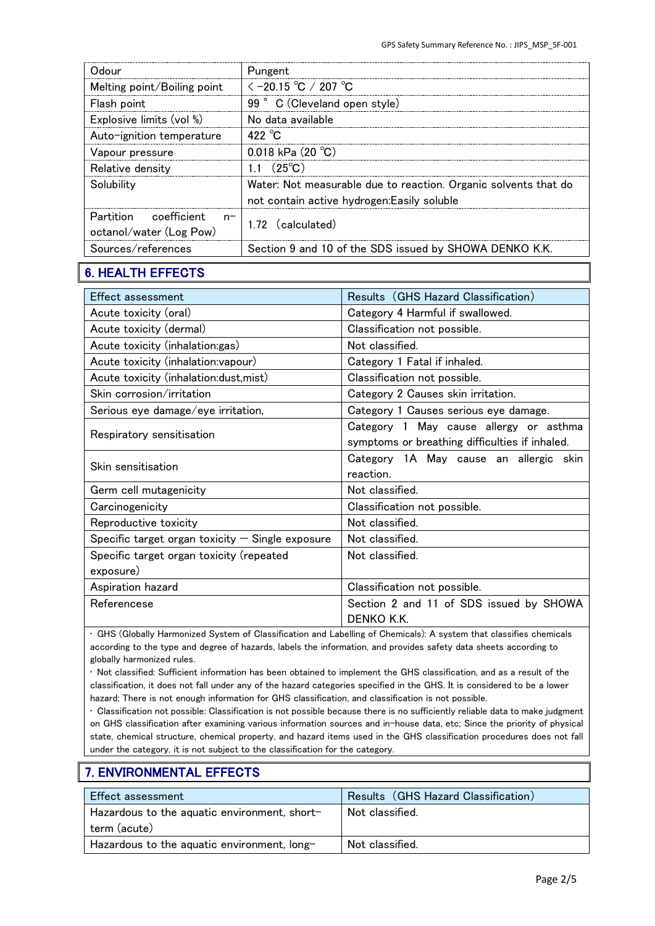| Odour                                                    | Pungent                                                         |
|----------------------------------------------------------|-----------------------------------------------------------------|
| Melting point/Boiling point                              | $\le$ -20.15 °C / 207 °C                                        |
| Flash point                                              | 99° C (Cleveland open style)                                    |
| Explosive limits (vol %)                                 | No data available                                               |
| Auto-ignition temperature                                | 422 $^{\circ}$ C                                                |
| Vapour pressure                                          | 0.018 kPa $(20 °C)$                                             |
| Relative density                                         | 1.1 $(25^{\circ}C)$                                             |
| Solubility                                               | Water: Not measurable due to reaction. Organic solvents that do |
|                                                          | not contain active hydrogen: Easily soluble                     |
| Partition coefficient<br>$n-$<br>octanol/water (Log Pow) | 1.72 (calculated)                                               |
| Sources/references                                       | Section 9 and 10 of the SDS issued by SHOWA DENKO K.K.          |

## 6. HEALTH EFFECTS

| <b>Effect assessment</b>                           | Results (GHS Hazard Classification)                                                      |
|----------------------------------------------------|------------------------------------------------------------------------------------------|
| Acute toxicity (oral)                              | Category 4 Harmful if swallowed.                                                         |
| Acute toxicity (dermal)                            | Classification not possible.                                                             |
| Acute toxicity (inhalation:gas)                    | Not classified.                                                                          |
| Acute toxicity (inhalation: vapour)                | Category 1 Fatal if inhaled.                                                             |
| Acute toxicity (inhalation:dust, mist)             | Classification not possible.                                                             |
| Skin corrosion/irritation                          | Category 2 Causes skin irritation.                                                       |
| Serious eye damage/eye irritation,                 | Category 1 Causes serious eye damage.                                                    |
| Respiratory sensitisation                          | Category 1 May cause allergy or asthma<br>symptoms or breathing difficulties if inhaled. |
| Skin sensitisation                                 | Category 1A May cause an allergic skin<br>reaction.                                      |
| Germ cell mutagenicity                             | Not classified.                                                                          |
| Carcinogenicity                                    | Classification not possible.                                                             |
| Reproductive toxicity                              | Not classified.                                                                          |
| Specific target organ toxicity $-$ Single exposure | Not classified.                                                                          |
| Specific target organ toxicity (repeated           | Not classified.                                                                          |
| exposure)                                          |                                                                                          |
| Aspiration hazard                                  | Classification not possible.                                                             |
| Referencese                                        | Section 2 and 11 of SDS issued by SHOWA<br>DENKO K.K.                                    |

• GHS (Globally Harmonized System of Classification and Labelling of Chemicals): A system that classifies chemicals according to the type and degree of hazards, labels the information, and provides safety data sheets according to globally harmonized rules.

• Not classified: Sufficient information has been obtained to implement the GHS classification, and as a result of the classification, it does not fall under any of the hazard categories specified in the GHS. It is considered to be a lower hazard; There is not enough information for GHS classification, and classification is not possible.

• Classification not possible: Classification is not possible because there is no sufficiently reliable data to make judgment on GHS classification after examining various information sources and in-house data, etc; Since the priority of physical state, chemical structure, chemical property, and hazard items used in the GHS classification procedures does not fall under the category, it is not subject to the classification for the category.

## 7. ENVIRONMENTAL EFFECTS

| Effect assessment                                            | Results (GHS Hazard Classification) |
|--------------------------------------------------------------|-------------------------------------|
| Hazardous to the aquatic environment, short-<br>term (acute) | Not classified.                     |
| Hazardous to the aquatic environment, long-                  | Not classified.                     |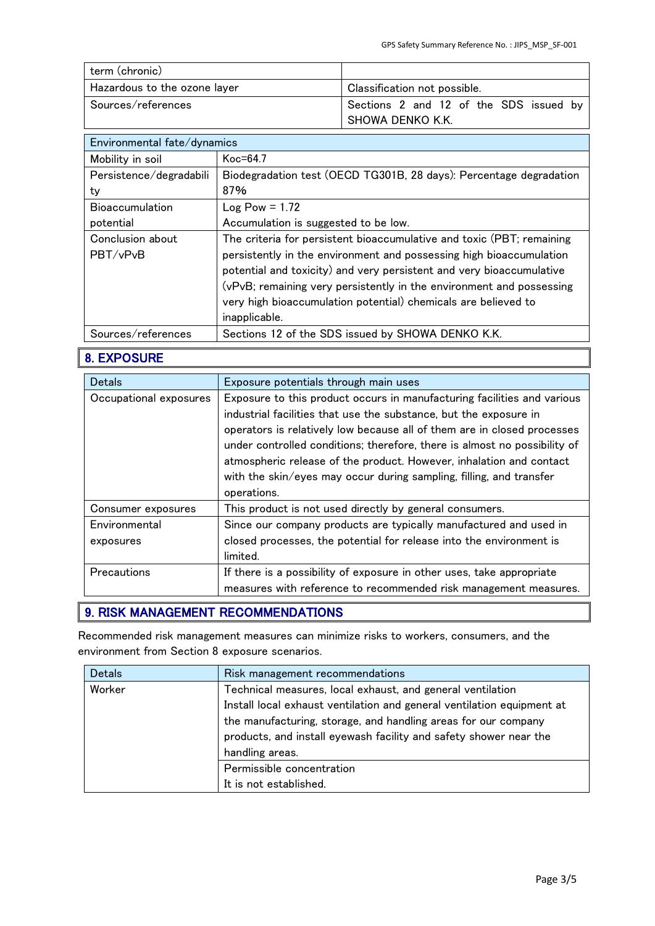| term (chronic)               |                                        |
|------------------------------|----------------------------------------|
| Hazardous to the ozone layer | Classification not possible.           |
| Sources/references           | Sections 2 and 12 of the SDS issued by |
|                              | SHOWA DENKO K.K.                       |

| Environmental fate/dynamics  |                                                                                                                                                                                                                                                                                                                                                                                 |
|------------------------------|---------------------------------------------------------------------------------------------------------------------------------------------------------------------------------------------------------------------------------------------------------------------------------------------------------------------------------------------------------------------------------|
| Mobility in soil             | $Koc=64.7$                                                                                                                                                                                                                                                                                                                                                                      |
| Persistence/degradabili      | Biodegradation test (OECD TG301B, 28 days): Percentage degradation                                                                                                                                                                                                                                                                                                              |
| ty                           | 87%                                                                                                                                                                                                                                                                                                                                                                             |
| <b>Bioaccumulation</b>       | $Log Pow = 1.72$                                                                                                                                                                                                                                                                                                                                                                |
| potential                    | Accumulation is suggested to be low.                                                                                                                                                                                                                                                                                                                                            |
| Conclusion about<br>PBT/vPvB | The criteria for persistent bioaccumulative and toxic (PBT; remaining<br>persistently in the environment and possessing high bioaccumulation<br>potential and toxicity) and very persistent and very bioaccumulative<br>(vPvB; remaining very persistently in the environment and possessing<br>very high bioaccumulation potential) chemicals are believed to<br>inapplicable. |
| Sources/references           | Sections 12 of the SDS issued by SHOWA DENKO K.K.                                                                                                                                                                                                                                                                                                                               |

## 8. EXPOSURE

| <b>Detals</b>          | Exposure potentials through main uses                                     |  |
|------------------------|---------------------------------------------------------------------------|--|
| Occupational exposures | Exposure to this product occurs in manufacturing facilities and various   |  |
|                        | industrial facilities that use the substance, but the exposure in         |  |
|                        | operators is relatively low because all of them are in closed processes   |  |
|                        | under controlled conditions; therefore, there is almost no possibility of |  |
|                        | atmospheric release of the product. However, inhalation and contact       |  |
|                        | with the skin/eyes may occur during sampling, filling, and transfer       |  |
|                        | operations.                                                               |  |
| Consumer exposures     | This product is not used directly by general consumers.                   |  |
| Environmental          | Since our company products are typically manufactured and used in         |  |
| exposures              | closed processes, the potential for release into the environment is       |  |
|                        | limited.                                                                  |  |
| Precautions            | If there is a possibility of exposure in other uses, take appropriate     |  |
|                        | measures with reference to recommended risk management measures.          |  |

## 9. RISK MANAGEMENT RECOMMENDATIONS

Recommended risk management measures can minimize risks to workers, consumers, and the environment from Section 8 exposure scenarios.

| <b>Detals</b> | Risk management recommendations                                        |  |
|---------------|------------------------------------------------------------------------|--|
| Worker        | Technical measures, local exhaust, and general ventilation             |  |
|               | Install local exhaust ventilation and general ventilation equipment at |  |
|               | the manufacturing, storage, and handling areas for our company         |  |
|               | products, and install eyewash facility and safety shower near the      |  |
|               | handling areas.                                                        |  |
|               | Permissible concentration                                              |  |
|               | It is not established.                                                 |  |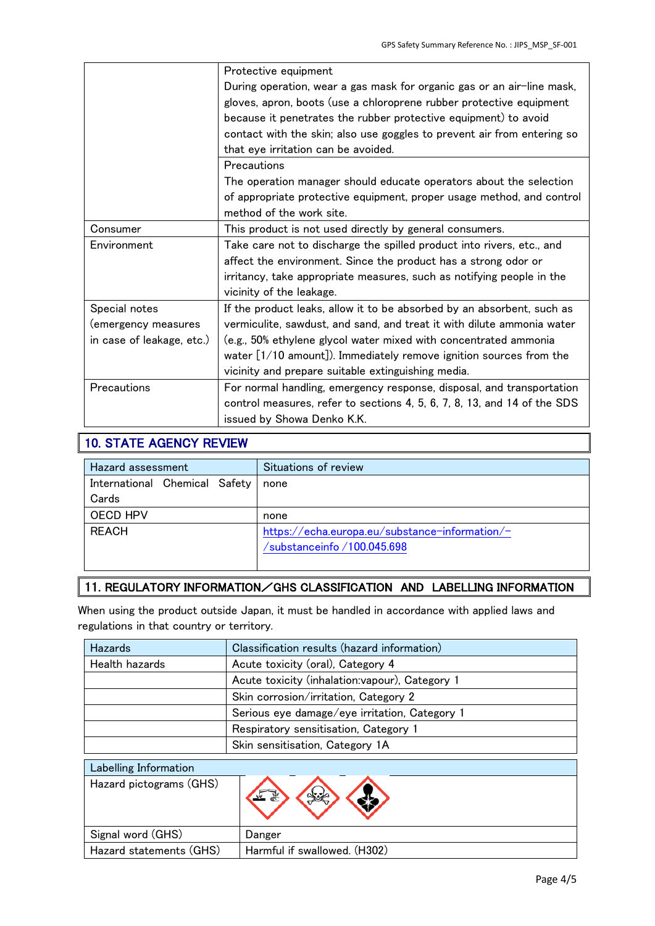|                           | Protective equipment                                                     |
|---------------------------|--------------------------------------------------------------------------|
|                           | During operation, wear a gas mask for organic gas or an air-line mask,   |
|                           | gloves, apron, boots (use a chloroprene rubber protective equipment      |
|                           | because it penetrates the rubber protective equipment) to avoid          |
|                           | contact with the skin; also use goggles to prevent air from entering so  |
|                           | that eye irritation can be avoided.                                      |
|                           | Precautions                                                              |
|                           | The operation manager should educate operators about the selection       |
|                           | of appropriate protective equipment, proper usage method, and control    |
|                           | method of the work site.                                                 |
| Consumer                  | This product is not used directly by general consumers.                  |
| Environment               | Take care not to discharge the spilled product into rivers, etc., and    |
|                           | affect the environment. Since the product has a strong odor or           |
|                           | irritancy, take appropriate measures, such as notifying people in the    |
|                           | vicinity of the leakage.                                                 |
| Special notes             | If the product leaks, allow it to be absorbed by an absorbent, such as   |
| (emergency measures       | vermiculite, sawdust, and sand, and treat it with dilute ammonia water   |
| in case of leakage, etc.) | (e.g., 50% ethylene glycol water mixed with concentrated ammonia         |
|                           | water $[1/10$ amount]). Immediately remove ignition sources from the     |
|                           | vicinity and prepare suitable extinguishing media.                       |
| Precautions               | For normal handling, emergency response, disposal, and transportation    |
|                           | control measures, refer to sections 4, 5, 6, 7, 8, 13, and 14 of the SDS |
|                           | issued by Showa Denko K.K.                                               |

## 10. STATE AGENCY REVIEW

| Hazard assessment             | Situations of review                           |
|-------------------------------|------------------------------------------------|
| International Chemical Safety | none                                           |
| Cards                         |                                                |
| OECD HPV                      | none                                           |
| <b>REACH</b>                  | https://echa.europa.eu/substance-information/- |
|                               | /substanceinfo/100.045.698                     |

#### 11. REGULATORY INFORMATION/GHS CLASSIFICATION AND LABELLING INFORMATION

When using the product outside Japan, it must be handled in accordance with applied laws and regulations in that country or territory.

| <b>Hazards</b>          | Classification results (hazard information)     |  |  |  |
|-------------------------|-------------------------------------------------|--|--|--|
| Health hazards          | Acute toxicity (oral), Category 4               |  |  |  |
|                         | Acute toxicity (inhalation: vapour), Category 1 |  |  |  |
|                         | Skin corrosion/irritation, Category 2           |  |  |  |
|                         | Serious eye damage/eye irritation, Category 1   |  |  |  |
|                         | Respiratory sensitisation, Category 1           |  |  |  |
|                         | Skin sensitisation, Category 1A                 |  |  |  |
| Labelling Information   |                                                 |  |  |  |
| Hazard pictograms (GHS) |                                                 |  |  |  |
| Signal word (GHS)       | Danger                                          |  |  |  |
| Hazard statements (GHS) | Harmful if swallowed. (H302)                    |  |  |  |